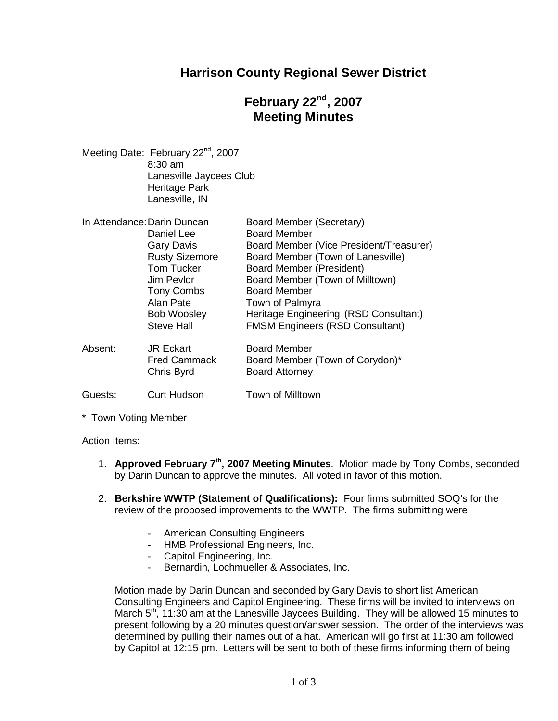## **Harrison County Regional Sewer District**

# **February 22nd , 2007 Meeting Minutes**

Meeting Date: February 22<sup>nd</sup>, 2007 8:30 am Lanesville Jaycees Club Heritage Park Lanesville, IN

|         | In Attendance: Darin Duncan                           | Board Member (Secretary)                                                        |
|---------|-------------------------------------------------------|---------------------------------------------------------------------------------|
|         | Daniel Lee                                            | <b>Board Member</b>                                                             |
|         | <b>Gary Davis</b>                                     | Board Member (Vice President/Treasurer)                                         |
|         | <b>Rusty Sizemore</b>                                 | Board Member (Town of Lanesville)                                               |
|         | <b>Tom Tucker</b>                                     | Board Member (President)                                                        |
|         | Jim Pevlor                                            | Board Member (Town of Milltown)                                                 |
|         | <b>Tony Combs</b>                                     | <b>Board Member</b>                                                             |
|         | Alan Pate                                             | Town of Palmyra                                                                 |
|         | <b>Bob Woosley</b><br><b>Steve Hall</b>               | Heritage Engineering (RSD Consultant)<br><b>FMSM Engineers (RSD Consultant)</b> |
| Absent: | <b>JR Eckart</b><br><b>Fred Cammack</b><br>Chris Byrd | <b>Board Member</b><br>Board Member (Town of Corydon)*<br><b>Board Attorney</b> |
| Guests: | <b>Curt Hudson</b>                                    | Town of Milltown                                                                |

\* Town Voting Member

#### Action Items:

- 1. **Approved February 7th, 2007 Meeting Minutes**. Motion made by Tony Combs, seconded by Darin Duncan to approve the minutes. All voted in favor of this motion.
- 2. **Berkshire WWTP (Statement of Qualifications):** Four firms submitted SOQ's for the review of the proposed improvements to the WWTP. The firms submitting were:
	- American Consulting Engineers
	- HMB Professional Engineers, Inc.
	- Capitol Engineering, Inc.
	- Bernardin, Lochmueller & Associates, Inc.

Motion made by Darin Duncan and seconded by Gary Davis to short list American Consulting Engineers and Capitol Engineering. These firms will be invited to interviews on March 5<sup>th</sup>, 11:30 am at the Lanesville Jaycees Building. They will be allowed 15 minutes to present following by a 20 minutes question/answer session. The order of the interviews was determined by pulling their names out of a hat. American will go first at 11:30 am followed by Capitol at 12:15 pm. Letters will be sent to both of these firms informing them of being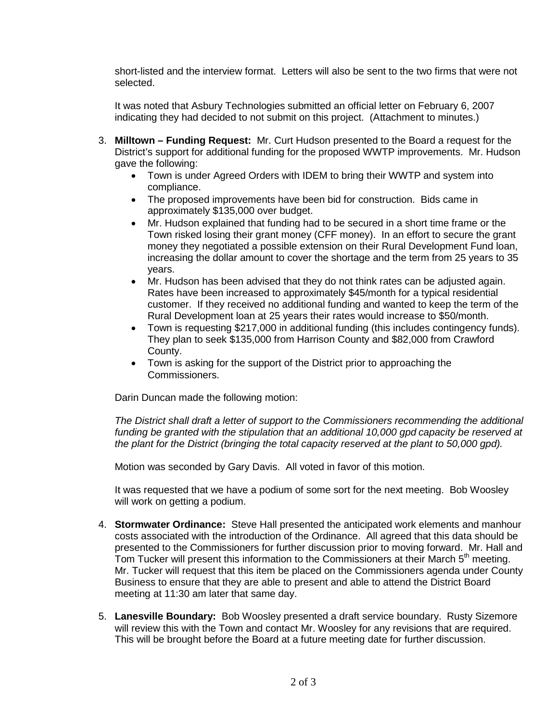short-listed and the interview format. Letters will also be sent to the two firms that were not selected.

It was noted that Asbury Technologies submitted an official letter on February 6, 2007 indicating they had decided to not submit on this project. (Attachment to minutes.)

- 3. **Milltown Funding Request:** Mr. Curt Hudson presented to the Board a request for the District's support for additional funding for the proposed WWTP improvements. Mr. Hudson gave the following:
	- Town is under Agreed Orders with IDEM to bring their WWTP and system into compliance.
	- The proposed improvements have been bid for construction. Bids came in approximately \$135,000 over budget.
	- Mr. Hudson explained that funding had to be secured in a short time frame or the Town risked losing their grant money (CFF money). In an effort to secure the grant money they negotiated a possible extension on their Rural Development Fund loan, increasing the dollar amount to cover the shortage and the term from 25 years to 35 years.
	- Mr. Hudson has been advised that they do not think rates can be adjusted again. Rates have been increased to approximately \$45/month for a typical residential customer. If they received no additional funding and wanted to keep the term of the Rural Development loan at 25 years their rates would increase to \$50/month.
	- Town is requesting \$217,000 in additional funding (this includes contingency funds). They plan to seek \$135,000 from Harrison County and \$82,000 from Crawford County.
	- Town is asking for the support of the District prior to approaching the Commissioners.

Darin Duncan made the following motion:

*The District shall draft a letter of support to the Commissioners recommending the additional funding be granted with the stipulation that an additional 10,000 gpd capacity be reserved at the plant for the District (bringing the total capacity reserved at the plant to 50,000 gpd).*

Motion was seconded by Gary Davis. All voted in favor of this motion.

It was requested that we have a podium of some sort for the next meeting. Bob Woosley will work on getting a podium.

- 4. **Stormwater Ordinance:** Steve Hall presented the anticipated work elements and manhour costs associated with the introduction of the Ordinance. All agreed that this data should be presented to the Commissioners for further discussion prior to moving forward. Mr. Hall and Tom Tucker will present this information to the Commissioners at their March  $5<sup>th</sup>$  meeting. Mr. Tucker will request that this item be placed on the Commissioners agenda under County Business to ensure that they are able to present and able to attend the District Board meeting at 11:30 am later that same day.
- 5. **Lanesville Boundary:** Bob Woosley presented a draft service boundary. Rusty Sizemore will review this with the Town and contact Mr. Woosley for any revisions that are required. This will be brought before the Board at a future meeting date for further discussion.